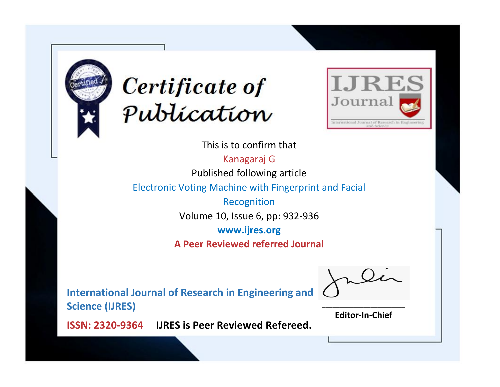



This is to confirm that

Kanagaraj G Published following article

Electronic Voting Machine with Fingerprint and Facial

Recognition Volume 10, Issue 6, pp: 932-936

**www.ijres.org**

**A Peer Reviewed referred Journal**

**International Journal of Research in Engineering and Science (IJRES)**

\_\_\_\_\_\_\_\_\_\_\_\_\_\_\_\_\_\_\_\_\_\_\_\_ **Editor-In-Chief**

**Journal.**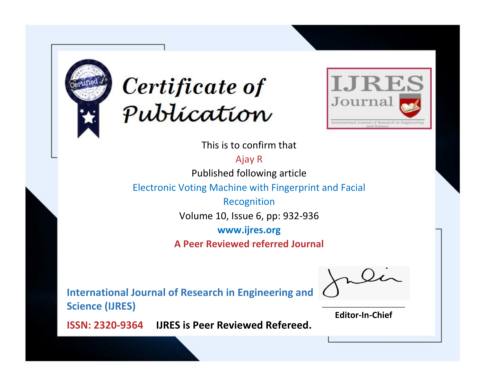



This is to confirm that

Ajay R Published following article

Electronic Voting Machine with Fingerprint and Facial

Recognition Volume 10, Issue 6, pp: 932-936

**www.ijres.org**

**A Peer Reviewed referred Journal**

**International Journal of Research in Engineering and Science (IJRES)**

\_\_\_\_\_\_\_\_\_\_\_\_\_\_\_\_\_\_\_\_\_\_\_\_ **Editor-In-Chief**

**Journal.**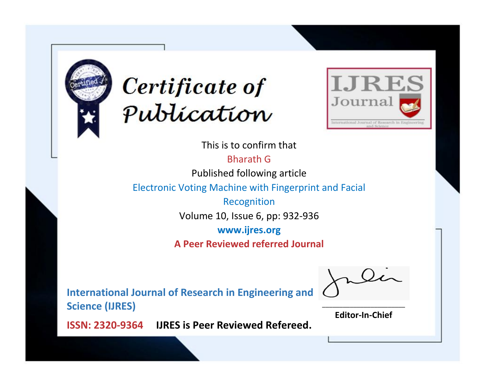



This is to confirm that

Bharath G

Published following article

Electronic Voting Machine with Fingerprint and Facial

Recognition Volume 10, Issue 6, pp: 932-936

**www.ijres.org**

**A Peer Reviewed referred Journal**

**International Journal of Research in Engineering and Science (IJRES)**

\_\_\_\_\_\_\_\_\_\_\_\_\_\_\_\_\_\_\_\_\_\_\_\_ **Editor-In-Chief**

**Journal.**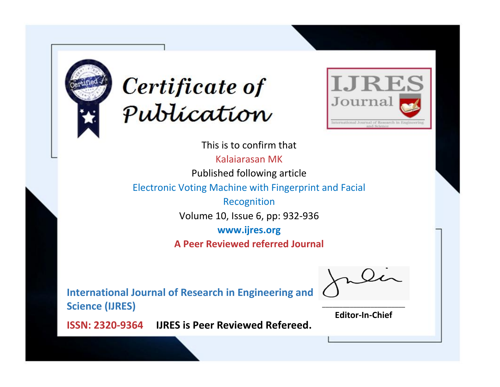



This is to confirm that Kalaiarasan MK Published following article Electronic Voting Machine with Fingerprint and Facial Recognition Volume 10, Issue 6, pp: 932-936 **www.ijres.org A Peer Reviewed referred Journal**

**International Journal of Research in Engineering and Science (IJRES)**

\_\_\_\_\_\_\_\_\_\_\_\_\_\_\_\_\_\_\_\_\_\_\_\_ **Editor-In-Chief**

**Journal.**